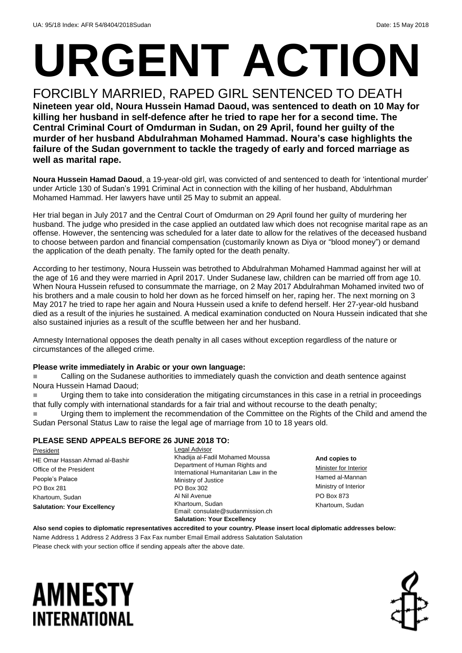# **URGENT ACTION**

FORCIBLY MARRIED, RAPED GIRL SENTENCED TO DEATH **Nineteen year old, Noura Hussein Hamad Daoud, was sentenced to death on 10 May for killing her husband in self-defence after he tried to rape her for a second time. The Central Criminal Court of Omdurman in Sudan, on 29 April, found her guilty of the murder of her husband Abdulrahman Mohamed Hammad. Noura's case highlights the failure of the Sudan government to tackle the tragedy of early and forced marriage as well as marital rape.**

**Noura Hussein Hamad Daoud**, a 19-year-old girl, was convicted of and sentenced to death for 'intentional murder' under Article 130 of Sudan's 1991 Criminal Act in connection with the killing of her husband, Abdulrhman Mohamed Hammad. Her lawyers have until 25 May to submit an appeal.

Her trial began in July 2017 and the Central Court of Omdurman on 29 April found her guilty of murdering her husband. The judge who presided in the case applied an outdated law which does not recognise marital rape as an offense. However, the sentencing was scheduled for a later date to allow for the relatives of the deceased husband to choose between pardon and financial compensation (customarily known as Diya or "blood money") or demand the application of the death penalty. The family opted for the death penalty.

According to her testimony, Noura Hussein was betrothed to Abdulrahman Mohamed Hammad against her will at the age of 16 and they were married in April 2017. Under Sudanese law, children can be married off from age 10. When Noura Hussein refused to consummate the marriage, on 2 May 2017 Abdulrahman Mohamed invited two of his brothers and a male cousin to hold her down as he forced himself on her, raping her. The next morning on 3 May 2017 he tried to rape her again and Noura Hussein used a knife to defend herself. Her 27-year-old husband died as a result of the injuries he sustained. A medical examination conducted on Noura Hussein indicated that she also sustained injuries as a result of the scuffle between her and her husband.

Amnesty International opposes the death penalty in all cases without exception regardless of the nature or circumstances of the alleged crime.

### **Please write immediately in Arabic or your own language:**

 Calling on the Sudanese authorities to immediately quash the conviction and death sentence against Noura Hussein Hamad Daoud;

 Urging them to take into consideration the mitigating circumstances in this case in a retrial in proceedings that fully comply with international standards for a fair trial and without recourse to the death penalty;

 Urging them to implement the recommendation of the Committee on the Rights of the Child and amend the Sudan Personal Status Law to raise the legal age of marriage from 10 to 18 years old.

### **PLEASE SEND APPEALS BEFORE 26 JUNE 2018 TO:**

President HE Omar Hassan Ahmad al-Bashir Office of the President People's Palace PO Box 281 Khartoum, Sudan **Salutation: Your Excellency**

Legal Advisor Khadija al-Fadil Mohamed Moussa Department of Human Rights and International Humanitarian Law in the Ministry of Justice PO Box 302 Al Nil Avenue Khartoum, Sudan Email: consulate@sudanmission.ch **Salutation: Your Excellency**

**And copies to** Minister for Interior Hamed al-Mannan Ministry of Interior PO Box 873 Khartoum, Sudan

**Also send copies to diplomatic representatives accredited to your country. Please insert local diplomatic addresses below:**

Name Address 1 Address 2 Address 3 Fax Fax number Email Email address Salutation Salutation Please check with your section office if sending appeals after the above date.